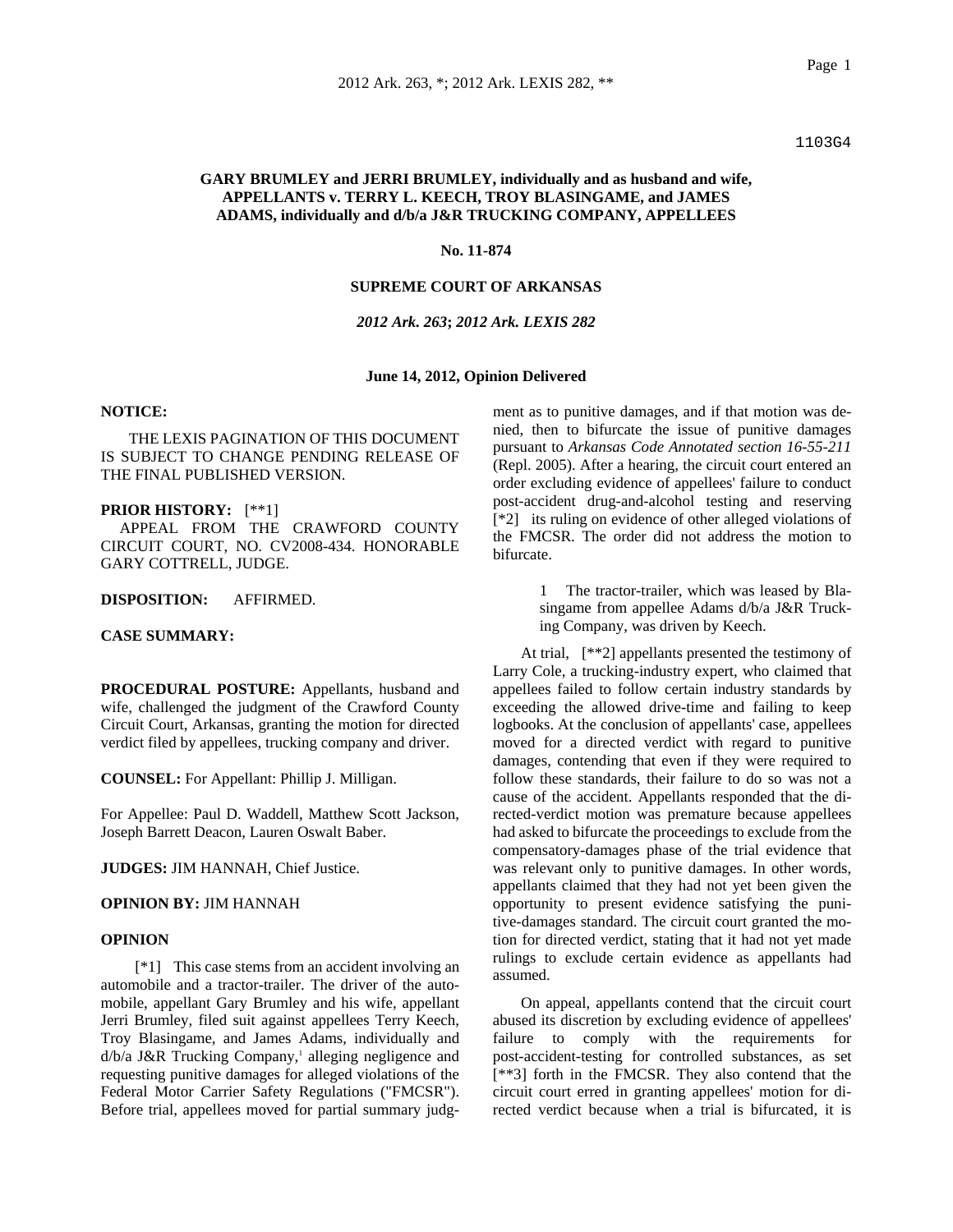1103G4

# **GARY BRUMLEY and JERRI BRUMLEY, individually and as husband and wife, APPELLANTS v. TERRY L. KEECH, TROY BLASINGAME, and JAMES ADAMS, individually and d/b/a J&R TRUCKING COMPANY, APPELLEES**

#### **No. 11-874**

# **SUPREME COURT OF ARKANSAS**

# *2012 Ark. 263***;** *2012 Ark. LEXIS 282*

#### **June 14, 2012, Opinion Delivered**

# **NOTICE:**

THE LEXIS PAGINATION OF THIS DOCUMENT IS SUBJECT TO CHANGE PENDING RELEASE OF THE FINAL PUBLISHED VERSION.

#### **PRIOR HISTORY:** [\*\*1]

 APPEAL FROM THE CRAWFORD COUNTY CIRCUIT COURT, NO. CV2008-434. HONORABLE GARY COTTRELL, JUDGE.

# **DISPOSITION:** AFFIRMED.

# **CASE SUMMARY:**

**PROCEDURAL POSTURE:** Appellants, husband and wife, challenged the judgment of the Crawford County Circuit Court, Arkansas, granting the motion for directed verdict filed by appellees, trucking company and driver.

**COUNSEL:** For Appellant: Phillip J. Milligan.

For Appellee: Paul D. Waddell, Matthew Scott Jackson, Joseph Barrett Deacon, Lauren Oswalt Baber.

**JUDGES:** JIM HANNAH, Chief Justice.

#### **OPINION BY:** JIM HANNAH

## **OPINION**

 [\*1] This case stems from an accident involving an automobile and a tractor-trailer. The driver of the automobile, appellant Gary Brumley and his wife, appellant Jerri Brumley, filed suit against appellees Terry Keech, Troy Blasingame, and James Adams, individually and  $d/b/a$  J&R Trucking Company,<sup>1</sup> alleging negligence and requesting punitive damages for alleged violations of the Federal Motor Carrier Safety Regulations ("FMCSR"). Before trial, appellees moved for partial summary judgment as to punitive damages, and if that motion was denied, then to bifurcate the issue of punitive damages pursuant to *Arkansas Code Annotated section 16-55-211* (Repl. 2005). After a hearing, the circuit court entered an order excluding evidence of appellees' failure to conduct post-accident drug-and-alcohol testing and reserving [\*2] its ruling on evidence of other alleged violations of the FMCSR. The order did not address the motion to bifurcate.

> 1 The tractor-trailer, which was leased by Blasingame from appellee Adams d/b/a J&R Trucking Company, was driven by Keech.

At trial, [\*\*2] appellants presented the testimony of Larry Cole, a trucking-industry expert, who claimed that appellees failed to follow certain industry standards by exceeding the allowed drive-time and failing to keep logbooks. At the conclusion of appellants' case, appellees moved for a directed verdict with regard to punitive damages, contending that even if they were required to follow these standards, their failure to do so was not a cause of the accident. Appellants responded that the directed-verdict motion was premature because appellees had asked to bifurcate the proceedings to exclude from the compensatory-damages phase of the trial evidence that was relevant only to punitive damages. In other words, appellants claimed that they had not yet been given the opportunity to present evidence satisfying the punitive-damages standard. The circuit court granted the motion for directed verdict, stating that it had not yet made rulings to exclude certain evidence as appellants had assumed.

On appeal, appellants contend that the circuit court abused its discretion by excluding evidence of appellees' failure to comply with the requirements for post-accident-testing for controlled substances, as set [\*\*3] forth in the FMCSR. They also contend that the circuit court erred in granting appellees' motion for directed verdict because when a trial is bifurcated, it is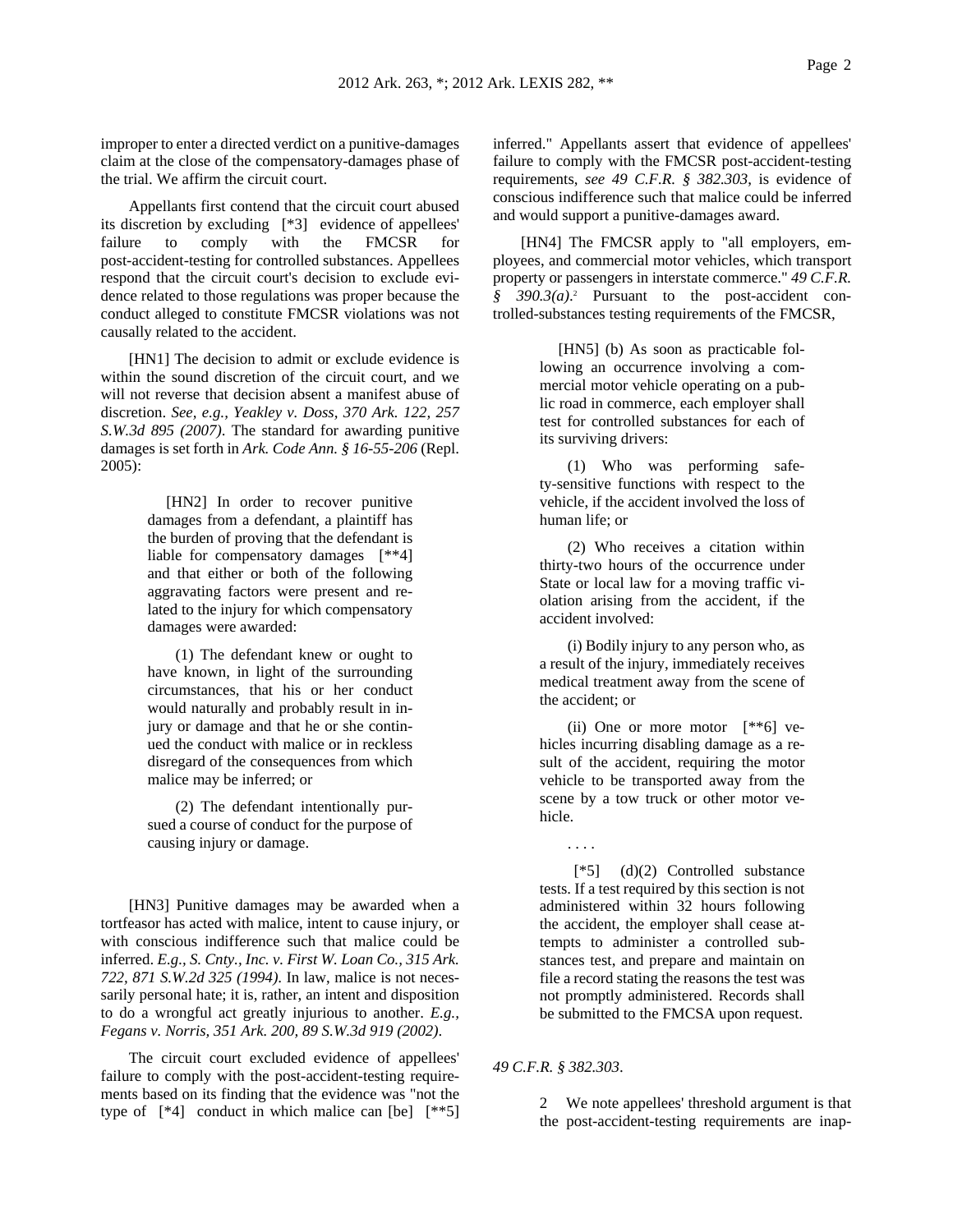improper to enter a directed verdict on a punitive-damages claim at the close of the compensatory-damages phase of the trial. We affirm the circuit court.

Appellants first contend that the circuit court abused its discretion by excluding [\*3] evidence of appellees' failure to comply with the FMCSR for post-accident-testing for controlled substances. Appellees respond that the circuit court's decision to exclude evidence related to those regulations was proper because the conduct alleged to constitute FMCSR violations was not causally related to the accident.

[HN1] The decision to admit or exclude evidence is within the sound discretion of the circuit court, and we will not reverse that decision absent a manifest abuse of discretion. *See, e.g., Yeakley v. Doss, 370 Ark. 122, 257 S.W.3d 895 (2007)*. The standard for awarding punitive damages is set forth in *Ark. Code Ann. § 16-55-206* (Repl. 2005):

> [HN2] In order to recover punitive damages from a defendant, a plaintiff has the burden of proving that the defendant is liable for compensatory damages [\*\*4] and that either or both of the following aggravating factors were present and related to the injury for which compensatory damages were awarded:

> (1) The defendant knew or ought to have known, in light of the surrounding circumstances, that his or her conduct would naturally and probably result in injury or damage and that he or she continued the conduct with malice or in reckless disregard of the consequences from which malice may be inferred; or

> (2) The defendant intentionally pursued a course of conduct for the purpose of causing injury or damage.

[HN3] Punitive damages may be awarded when a tortfeasor has acted with malice, intent to cause injury, or with conscious indifference such that malice could be inferred. *E.g., S. Cnty., Inc. v. First W. Loan Co., 315 Ark. 722, 871 S.W.2d 325 (1994)*. In law, malice is not necessarily personal hate; it is, rather, an intent and disposition to do a wrongful act greatly injurious to another. *E.g., Fegans v. Norris, 351 Ark. 200, 89 S.W.3d 919 (2002)*.

The circuit court excluded evidence of appellees' failure to comply with the post-accident-testing requirements based on its finding that the evidence was "not the type of  $[4]$  conduct in which malice can  $[be]$   $[4*5]$  inferred." Appellants assert that evidence of appellees' failure to comply with the FMCSR post-accident-testing requirements, *see 49 C.F.R. § 382.303*, is evidence of conscious indifference such that malice could be inferred and would support a punitive-damages award.

[HN4] The FMCSR apply to "all employers, employees, and commercial motor vehicles, which transport property or passengers in interstate commerce." *49 C.F.R.*  § 390.3(a).<sup>2</sup> Pursuant to the post-accident controlled-substances testing requirements of the FMCSR,

> [HN5] (b) As soon as practicable following an occurrence involving a commercial motor vehicle operating on a public road in commerce, each employer shall test for controlled substances for each of its surviving drivers:

> (1) Who was performing safety-sensitive functions with respect to the vehicle, if the accident involved the loss of human life; or

> (2) Who receives a citation within thirty-two hours of the occurrence under State or local law for a moving traffic violation arising from the accident, if the accident involved:

> (i) Bodily injury to any person who, as a result of the injury, immediately receives medical treatment away from the scene of the accident; or

> (ii) One or more motor [\*\*6] vehicles incurring disabling damage as a result of the accident, requiring the motor vehicle to be transported away from the scene by a tow truck or other motor vehicle.

. . . .

 [\*5] (d)(2) Controlled substance tests. If a test required by this section is not administered within 32 hours following the accident, the employer shall cease attempts to administer a controlled substances test, and prepare and maintain on file a record stating the reasons the test was not promptly administered. Records shall be submitted to the FMCSA upon request.

*49 C.F.R. § 382.303*.

2 We note appellees' threshold argument is that the post-accident-testing requirements are inap